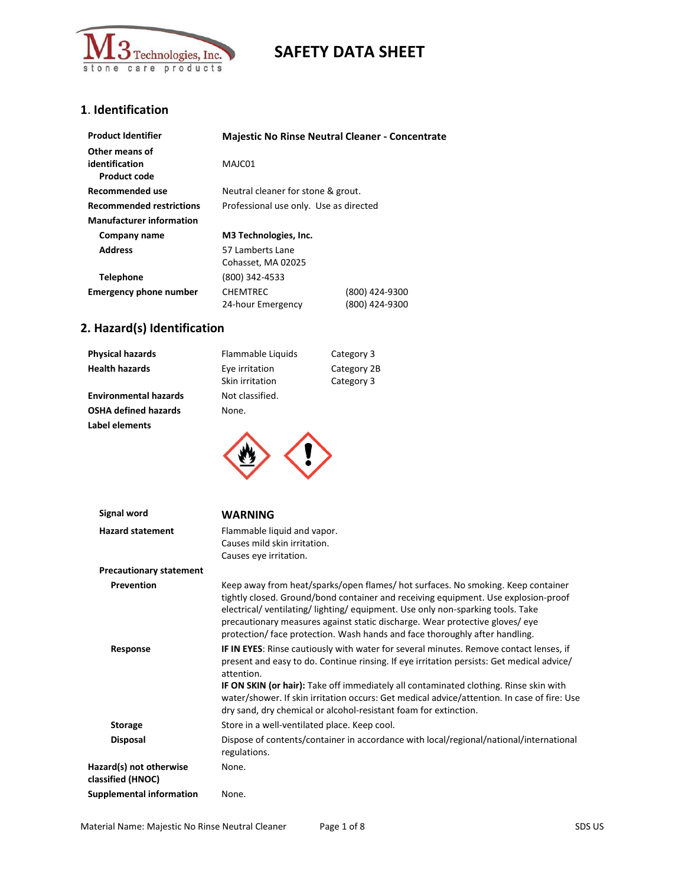

## **1**. **Identification**

| <b>Product Identifier</b>                        | <b>Majestic No Rinse Neutral Cleaner - Concentrate</b> |                |
|--------------------------------------------------|--------------------------------------------------------|----------------|
| Other means of<br>identification<br>Product code | MAJC01                                                 |                |
| Recommended use                                  | Neutral cleaner for stone & grout.                     |                |
| <b>Recommended restrictions</b>                  | Professional use only. Use as directed                 |                |
| <b>Manufacturer information</b>                  |                                                        |                |
| Company name                                     | M3 Technologies, Inc.                                  |                |
| <b>Address</b>                                   | 57 Lamberts Lane                                       |                |
|                                                  | Cohasset, MA 02025                                     |                |
| <b>Telephone</b>                                 | (800) 342-4533                                         |                |
| <b>Emergency phone number</b>                    | <b>CHEMTREC</b>                                        | (800) 424-9300 |
|                                                  | 24-hour Emergency                                      | (800) 424-9300 |

# **2. Hazard(s) Identification**

| <b>Physical hazards</b>      | Flammable Liquids                 | Category 3                |
|------------------------------|-----------------------------------|---------------------------|
| <b>Health hazards</b>        | Eye irritation<br>Skin irritation | Category 2B<br>Category 3 |
| <b>Environmental hazards</b> | Not classified.                   |                           |
| <b>OSHA defined hazards</b>  | None.                             |                           |
| Label elements               |                                   |                           |



| Signal word                                  | <b>WARNING</b>                                                                                                                                                                                                                                                                                                                                                                                                                                                |
|----------------------------------------------|---------------------------------------------------------------------------------------------------------------------------------------------------------------------------------------------------------------------------------------------------------------------------------------------------------------------------------------------------------------------------------------------------------------------------------------------------------------|
| <b>Hazard statement</b>                      | Flammable liquid and vapor.<br>Causes mild skin irritation.<br>Causes eye irritation.                                                                                                                                                                                                                                                                                                                                                                         |
| <b>Precautionary statement</b>               |                                                                                                                                                                                                                                                                                                                                                                                                                                                               |
| Prevention                                   | Keep away from heat/sparks/open flames/ hot surfaces. No smoking. Keep container<br>tightly closed. Ground/bond container and receiving equipment. Use explosion-proof<br>electrical/ventilating/lighting/equipment. Use only non-sparking tools. Take<br>precautionary measures against static discharge. Wear protective gloves/eye<br>protection/ face protection. Wash hands and face thoroughly after handling.                                          |
| Response                                     | IF IN EYES: Rinse cautiously with water for several minutes. Remove contact lenses, if<br>present and easy to do. Continue rinsing. If eye irritation persists: Get medical advice/<br>attention.<br>IF ON SKIN (or hair): Take off immediately all contaminated clothing. Rinse skin with<br>water/shower. If skin irritation occurs: Get medical advice/attention. In case of fire: Use<br>dry sand, dry chemical or alcohol-resistant foam for extinction. |
| <b>Storage</b>                               | Store in a well-ventilated place. Keep cool.                                                                                                                                                                                                                                                                                                                                                                                                                  |
| <b>Disposal</b>                              | Dispose of contents/container in accordance with local/regional/national/international<br>regulations.                                                                                                                                                                                                                                                                                                                                                        |
| Hazard(s) not otherwise<br>classified (HNOC) | None.                                                                                                                                                                                                                                                                                                                                                                                                                                                         |
| <b>Supplemental information</b>              | None.                                                                                                                                                                                                                                                                                                                                                                                                                                                         |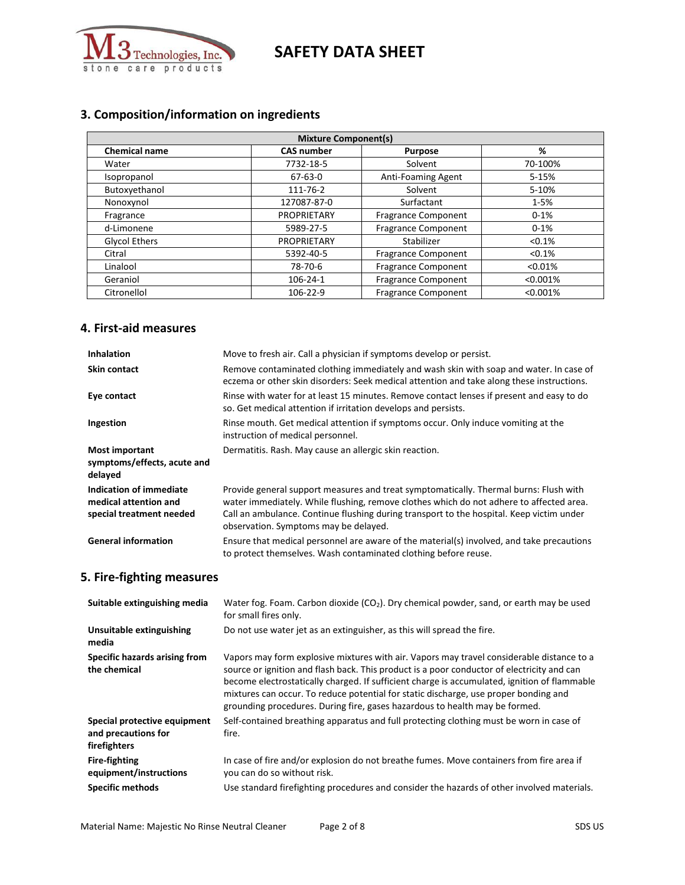

# **3. Composition/information on ingredients**

| <b>Mixture Component(s)</b>                                      |                    |                            |           |  |  |
|------------------------------------------------------------------|--------------------|----------------------------|-----------|--|--|
| <b>Chemical name</b><br><b>CAS number</b><br>%<br><b>Purpose</b> |                    |                            |           |  |  |
| Water                                                            | 7732-18-5          | Solvent                    | 70-100%   |  |  |
| Isopropanol                                                      | 67-63-0            | Anti-Foaming Agent         | 5-15%     |  |  |
| Butoxyethanol                                                    | 111-76-2           | Solvent                    | 5-10%     |  |  |
| Nonoxynol                                                        | 127087-87-0        | Surfactant                 | $1 - 5%$  |  |  |
| Fragrance                                                        | <b>PROPRIETARY</b> | <b>Fragrance Component</b> | $0 - 1%$  |  |  |
| d-Limonene                                                       | 5989-27-5          | <b>Fragrance Component</b> | $0 - 1%$  |  |  |
| <b>Glycol Ethers</b>                                             | <b>PROPRIETARY</b> | Stabilizer                 | $< 0.1\%$ |  |  |
| Citral                                                           | 5392-40-5          | <b>Fragrance Component</b> | < 0.1%    |  |  |
| Linalool                                                         | 78-70-6            | <b>Fragrance Component</b> | < 0.01%   |  |  |
| Geraniol                                                         | 106-24-1           | <b>Fragrance Component</b> | < 0.001%  |  |  |
| Citronellol                                                      | 106-22-9           | <b>Fragrance Component</b> | < 0.001%  |  |  |

#### **4. First-aid measures**

| <b>Inhalation</b>                                                            | Move to fresh air. Call a physician if symptoms develop or persist.                                                                                                                                                                                                                                                   |
|------------------------------------------------------------------------------|-----------------------------------------------------------------------------------------------------------------------------------------------------------------------------------------------------------------------------------------------------------------------------------------------------------------------|
| <b>Skin contact</b>                                                          | Remove contaminated clothing immediately and wash skin with soap and water. In case of<br>eczema or other skin disorders: Seek medical attention and take along these instructions.                                                                                                                                   |
| Eye contact                                                                  | Rinse with water for at least 15 minutes. Remove contact lenses if present and easy to do<br>so. Get medical attention if irritation develops and persists.                                                                                                                                                           |
| Ingestion                                                                    | Rinse mouth. Get medical attention if symptoms occur. Only induce vomiting at the<br>instruction of medical personnel.                                                                                                                                                                                                |
| <b>Most important</b><br>symptoms/effects, acute and<br>delayed              | Dermatitis. Rash. May cause an allergic skin reaction.                                                                                                                                                                                                                                                                |
| Indication of immediate<br>medical attention and<br>special treatment needed | Provide general support measures and treat symptomatically. Thermal burns: Flush with<br>water immediately. While flushing, remove clothes which do not adhere to affected area.<br>Call an ambulance. Continue flushing during transport to the hospital. Keep victim under<br>observation. Symptoms may be delayed. |
| <b>General information</b>                                                   | Ensure that medical personnel are aware of the material(s) involved, and take precautions<br>to protect themselves. Wash contaminated clothing before reuse.                                                                                                                                                          |

## **5. Fire-fighting measures**

| Suitable extinguishing media                                        | Water fog. Foam. Carbon dioxide ( $CO2$ ). Dry chemical powder, sand, or earth may be used<br>for small fires only.                                                                                                                                                                                                                                                                                                                                            |
|---------------------------------------------------------------------|----------------------------------------------------------------------------------------------------------------------------------------------------------------------------------------------------------------------------------------------------------------------------------------------------------------------------------------------------------------------------------------------------------------------------------------------------------------|
| Unsuitable extinguishing<br>media                                   | Do not use water jet as an extinguisher, as this will spread the fire.                                                                                                                                                                                                                                                                                                                                                                                         |
| Specific hazards arising from<br>the chemical                       | Vapors may form explosive mixtures with air. Vapors may travel considerable distance to a<br>source or ignition and flash back. This product is a poor conductor of electricity and can<br>become electrostatically charged. If sufficient charge is accumulated, ignition of flammable<br>mixtures can occur. To reduce potential for static discharge, use proper bonding and<br>grounding procedures. During fire, gases hazardous to health may be formed. |
| Special protective equipment<br>and precautions for<br>firefighters | Self-contained breathing apparatus and full protecting clothing must be worn in case of<br>fire.                                                                                                                                                                                                                                                                                                                                                               |
| <b>Fire-fighting</b><br>equipment/instructions                      | In case of fire and/or explosion do not breathe fumes. Move containers from fire area if<br>you can do so without risk.                                                                                                                                                                                                                                                                                                                                        |
| <b>Specific methods</b>                                             | Use standard firefighting procedures and consider the hazards of other involved materials.                                                                                                                                                                                                                                                                                                                                                                     |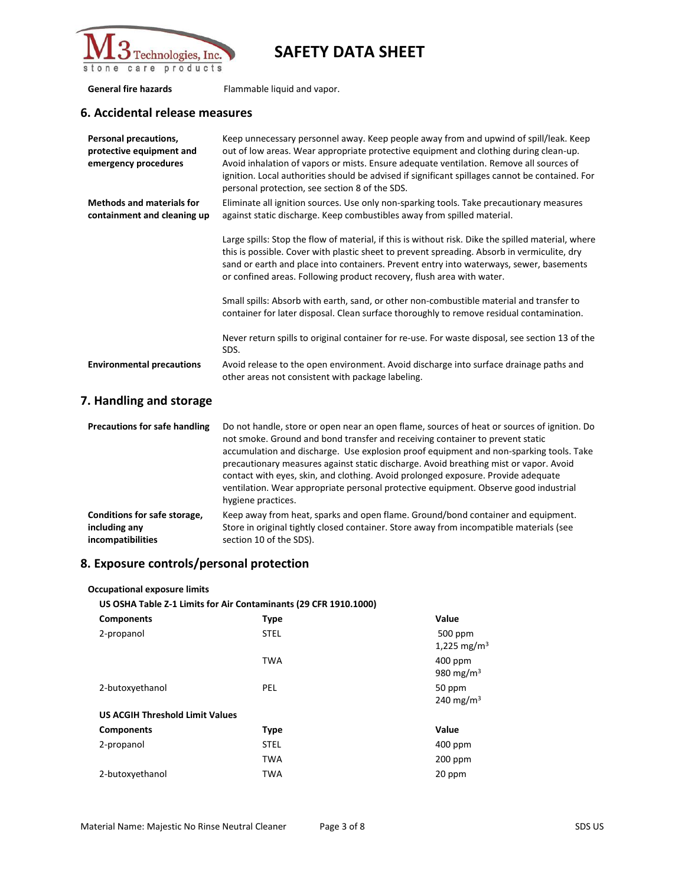

**General fire hazards** Flammable liquid and vapor.

### **6. Accidental release measures**

| <b>Personal precautions,</b><br>protective equipment and<br>emergency procedures | Keep unnecessary personnel away. Keep people away from and upwind of spill/leak. Keep<br>out of low areas. Wear appropriate protective equipment and clothing during clean-up.<br>Avoid inhalation of vapors or mists. Ensure adequate ventilation. Remove all sources of<br>ignition. Local authorities should be advised if significant spillages cannot be contained. For<br>personal protection, see section 8 of the SDS. |
|----------------------------------------------------------------------------------|--------------------------------------------------------------------------------------------------------------------------------------------------------------------------------------------------------------------------------------------------------------------------------------------------------------------------------------------------------------------------------------------------------------------------------|
| <b>Methods and materials for</b><br>containment and cleaning up                  | Eliminate all ignition sources. Use only non-sparking tools. Take precautionary measures<br>against static discharge. Keep combustibles away from spilled material.                                                                                                                                                                                                                                                            |
|                                                                                  | Large spills: Stop the flow of material, if this is without risk. Dike the spilled material, where<br>this is possible. Cover with plastic sheet to prevent spreading. Absorb in vermiculite, dry<br>sand or earth and place into containers. Prevent entry into waterways, sewer, basements<br>or confined areas. Following product recovery, flush area with water.                                                          |
|                                                                                  | Small spills: Absorb with earth, sand, or other non-combustible material and transfer to<br>container for later disposal. Clean surface thoroughly to remove residual contamination.                                                                                                                                                                                                                                           |
|                                                                                  | Never return spills to original container for re-use. For waste disposal, see section 13 of the<br>SDS.                                                                                                                                                                                                                                                                                                                        |
| <b>Environmental precautions</b>                                                 | Avoid release to the open environment. Avoid discharge into surface drainage paths and<br>other areas not consistent with package labeling.                                                                                                                                                                                                                                                                                    |

## **7. Handling and storage**

| <b>Precautions for safe handling</b> | Do not handle, store or open near an open flame, sources of heat or sources of ignition. Do<br>not smoke. Ground and bond transfer and receiving container to prevent static<br>accumulation and discharge. Use explosion proof equipment and non-sparking tools. Take<br>precautionary measures against static discharge. Avoid breathing mist or vapor. Avoid<br>contact with eyes, skin, and clothing. Avoid prolonged exposure. Provide adequate<br>ventilation. Wear appropriate personal protective equipment. Observe good industrial<br>hygiene practices. |
|--------------------------------------|--------------------------------------------------------------------------------------------------------------------------------------------------------------------------------------------------------------------------------------------------------------------------------------------------------------------------------------------------------------------------------------------------------------------------------------------------------------------------------------------------------------------------------------------------------------------|
| Conditions for safe storage,         | Keep away from heat, sparks and open flame. Ground/bond container and equipment.                                                                                                                                                                                                                                                                                                                                                                                                                                                                                   |
| including any                        | Store in original tightly closed container. Store away from incompatible materials (see                                                                                                                                                                                                                                                                                                                                                                                                                                                                            |
| incompatibilities                    | section 10 of the SDS).                                                                                                                                                                                                                                                                                                                                                                                                                                                                                                                                            |

## **8. Exposure controls/personal protection**

**Occupational exposure limits**

#### **US OSHA Table Z-1 Limits for Air Contaminants (29 CFR 1910.1000)**

| <b>Components</b>                      | <b>Type</b> | Value                              |
|----------------------------------------|-------------|------------------------------------|
| 2-propanol                             | <b>STEL</b> | 500 ppm<br>1,225 mg/m <sup>3</sup> |
|                                        | <b>TWA</b>  | 400 ppm<br>980 mg/m <sup>3</sup>   |
| 2-butoxyethanol                        | <b>PEL</b>  | 50 ppm<br>240 mg/m <sup>3</sup>    |
| <b>US ACGIH Threshold Limit Values</b> |             |                                    |
| <b>Components</b>                      | <b>Type</b> | Value                              |
| 2-propanol                             | <b>STEL</b> | $400$ ppm                          |
|                                        | <b>TWA</b>  | 200 ppm                            |
| 2-butoxyethanol                        | <b>TWA</b>  | 20 ppm                             |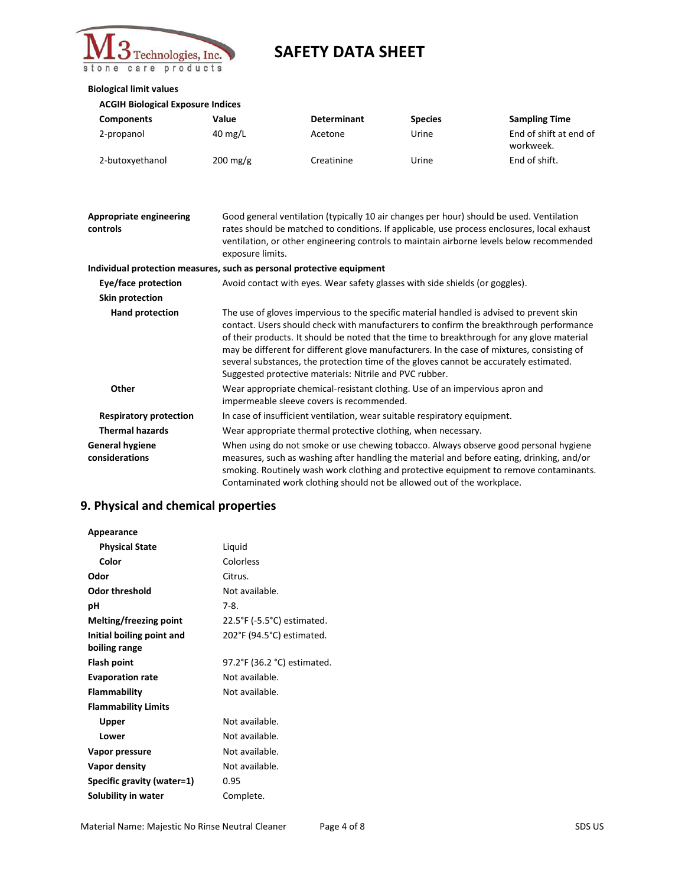

#### **Biological limit values**

| <b>ACGIH Biological Exposure Indices</b> |  |
|------------------------------------------|--|
|------------------------------------------|--|

| <b>Components</b> | Value              | <b>Determinant</b> | <b>Species</b> | <b>Sampling Time</b>                |
|-------------------|--------------------|--------------------|----------------|-------------------------------------|
| 2-propanol        | $40 \text{ mg/L}$  | Acetone            | Urine          | End of shift at end of<br>workweek. |
| 2-butoxyethanol   | $200 \text{ mg/g}$ | Creatinine         | Urine          | End of shift.                       |

| Appropriate engineering<br>controls      | Good general ventilation (typically 10 air changes per hour) should be used. Ventilation<br>rates should be matched to conditions. If applicable, use process enclosures, local exhaust<br>ventilation, or other engineering controls to maintain airborne levels below recommended<br>exposure limits.                                                                                                                                                                                                                            |
|------------------------------------------|------------------------------------------------------------------------------------------------------------------------------------------------------------------------------------------------------------------------------------------------------------------------------------------------------------------------------------------------------------------------------------------------------------------------------------------------------------------------------------------------------------------------------------|
|                                          | Individual protection measures, such as personal protective equipment                                                                                                                                                                                                                                                                                                                                                                                                                                                              |
| Eye/face protection                      | Avoid contact with eyes. Wear safety glasses with side shields (or goggles).                                                                                                                                                                                                                                                                                                                                                                                                                                                       |
| Skin protection                          |                                                                                                                                                                                                                                                                                                                                                                                                                                                                                                                                    |
| Hand protection                          | The use of gloves impervious to the specific material handled is advised to prevent skin<br>contact. Users should check with manufacturers to confirm the breakthrough performance<br>of their products. It should be noted that the time to breakthrough for any glove material<br>may be different for different glove manufacturers. In the case of mixtures, consisting of<br>several substances, the protection time of the gloves cannot be accurately estimated.<br>Suggested protective materials: Nitrile and PVC rubber. |
| Other                                    | Wear appropriate chemical-resistant clothing. Use of an impervious apron and<br>impermeable sleeve covers is recommended.                                                                                                                                                                                                                                                                                                                                                                                                          |
| <b>Respiratory protection</b>            | In case of insufficient ventilation, wear suitable respiratory equipment.                                                                                                                                                                                                                                                                                                                                                                                                                                                          |
| <b>Thermal hazards</b>                   | Wear appropriate thermal protective clothing, when necessary.                                                                                                                                                                                                                                                                                                                                                                                                                                                                      |
| <b>General hygiene</b><br>considerations | When using do not smoke or use chewing tobacco. Always observe good personal hygiene<br>measures, such as washing after handling the material and before eating, drinking, and/or<br>smoking. Routinely wash work clothing and protective equipment to remove contaminants.<br>Contaminated work clothing should not be allowed out of the workplace.                                                                                                                                                                              |

# **9. Physical and chemical properties**

| Appearance                    |                             |
|-------------------------------|-----------------------------|
| <b>Physical State</b>         | Liquid                      |
| Color                         | Colorless                   |
| Odor                          | Citrus.                     |
| <b>Odor threshold</b>         | Not available.              |
| рH                            | 7-8.                        |
| <b>Melting/freezing point</b> | 22.5°F (-5.5°C) estimated.  |
| Initial boiling point and     | 202°F (94.5°C) estimated.   |
| boiling range                 |                             |
| Flash point                   | 97.2°F (36.2 °C) estimated. |
| <b>Evaporation rate</b>       | Not available.              |
| Flammability                  | Not available.              |
| <b>Flammability Limits</b>    |                             |
| Upper                         | Not available.              |
| Lower                         | Not available.              |
| Vapor pressure                | Not available.              |
| Vapor density                 | Not available.              |
| Specific gravity (water=1)    | 0.95                        |
| Solubility in water           | Complete.                   |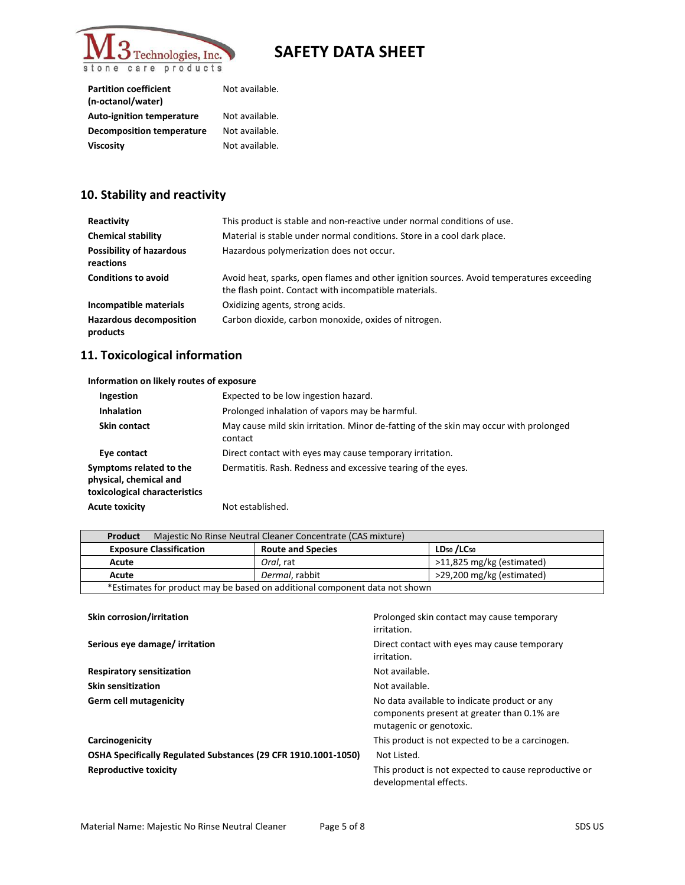

| <b>Partition coefficient</b><br>(n-octanol/water) | Not available. |
|---------------------------------------------------|----------------|
| <b>Auto-ignition temperature</b>                  | Not available. |
| <b>Decomposition temperature</b>                  | Not available. |
| <b>Viscosity</b>                                  | Not available. |

# **10. Stability and reactivity**

| Reactivity                                   | This product is stable and non-reactive under normal conditions of use.                                                                           |
|----------------------------------------------|---------------------------------------------------------------------------------------------------------------------------------------------------|
| <b>Chemical stability</b>                    | Material is stable under normal conditions. Store in a cool dark place.                                                                           |
| <b>Possibility of hazardous</b><br>reactions | Hazardous polymerization does not occur.                                                                                                          |
| <b>Conditions to avoid</b>                   | Avoid heat, sparks, open flames and other ignition sources. Avoid temperatures exceeding<br>the flash point. Contact with incompatible materials. |
| Incompatible materials                       | Oxidizing agents, strong acids.                                                                                                                   |
| <b>Hazardous decomposition</b><br>products   | Carbon dioxide, carbon monoxide, oxides of nitrogen.                                                                                              |

## **11. Toxicological information**

| Information on likely routes of exposure                                           |                                                                                                  |  |
|------------------------------------------------------------------------------------|--------------------------------------------------------------------------------------------------|--|
| Ingestion                                                                          | Expected to be low ingestion hazard.                                                             |  |
| <b>Inhalation</b>                                                                  | Prolonged inhalation of vapors may be harmful.                                                   |  |
| Skin contact                                                                       | May cause mild skin irritation. Minor de-fatting of the skin may occur with prolonged<br>contact |  |
| Eye contact                                                                        | Direct contact with eyes may cause temporary irritation.                                         |  |
| Symptoms related to the<br>physical, chemical and<br>toxicological characteristics | Dermatitis. Rash. Redness and excessive tearing of the eyes.                                     |  |
| <b>Acute toxicity</b>                                                              | Not established.                                                                                 |  |

| Majestic No Rinse Neutral Cleaner Concentrate (CAS mixture)<br>Product     |                          |                                    |
|----------------------------------------------------------------------------|--------------------------|------------------------------------|
| <b>Exposure Classification</b>                                             | <b>Route and Species</b> | LD <sub>50</sub> /LC <sub>50</sub> |
| Acute                                                                      | Oral. rat                | >11,825 mg/kg (estimated)          |
| Acute                                                                      | Dermal, rabbit           | >29,200 mg/kg (estimated)          |
| *Estimates for product may be based on additional component data not shown |                          |                                    |

| Skin corrosion/irritation                                      | Prolonged skin contact may cause temporary<br>irritation.                                                              |
|----------------------------------------------------------------|------------------------------------------------------------------------------------------------------------------------|
| Serious eye damage/ irritation                                 | Direct contact with eyes may cause temporary<br>irritation.                                                            |
| <b>Respiratory sensitization</b>                               | Not available.                                                                                                         |
| <b>Skin sensitization</b>                                      | Not available.                                                                                                         |
| Germ cell mutagenicity                                         | No data available to indicate product or any<br>components present at greater than 0.1% are<br>mutagenic or genotoxic. |
| Carcinogenicity                                                | This product is not expected to be a carcinogen.                                                                       |
| OSHA Specifically Regulated Substances (29 CFR 1910.1001-1050) | Not Listed.                                                                                                            |
| <b>Reproductive toxicity</b>                                   | This product is not expected to cause reproductive or<br>developmental effects.                                        |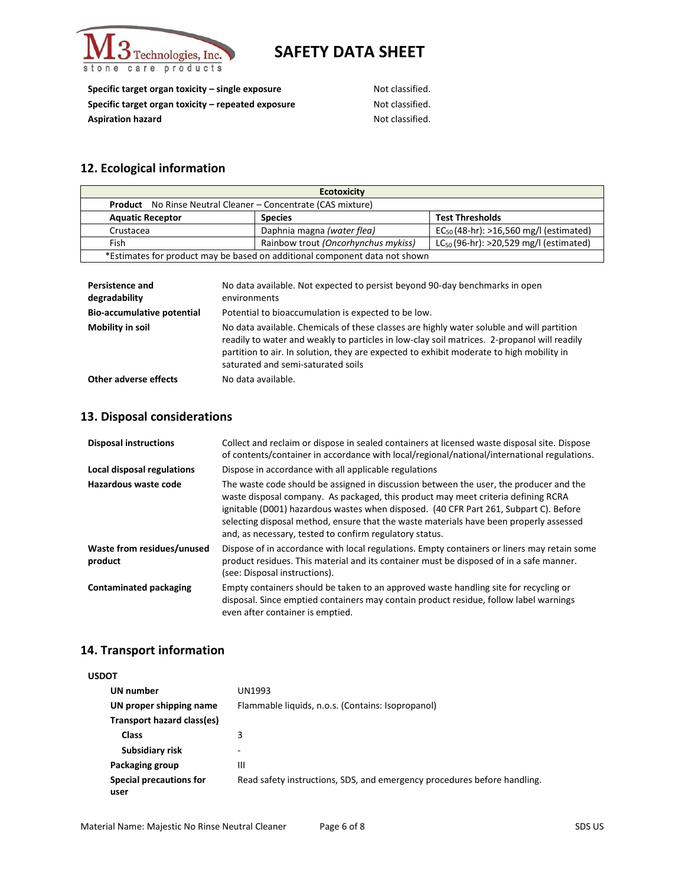

**Specific target organ toxicity – single exposure** Not classified. **Specific target organ toxicity – repeated exposure Not classified.** Aspiration hazard **Aspiration hazard** Not classified.

## **12. Ecological information**

| <b>Ecotoxicity</b>                                                         |                                     |                                             |
|----------------------------------------------------------------------------|-------------------------------------|---------------------------------------------|
| <b>Product</b> No Rinse Neutral Cleaner – Concentrate (CAS mixture)        |                                     |                                             |
| <b>Aquatic Receptor</b>                                                    | <b>Species</b>                      | <b>Test Thresholds</b>                      |
| Crustacea                                                                  | Daphnia magna (water flea)          | $EC_{50}$ (48-hr): >16,560 mg/l (estimated) |
| Fish                                                                       | Rainbow trout (Oncorhynchus mykiss) | $LC_{50}$ (96-hr): >20,529 mg/l (estimated) |
| *Estimates for product may be based on additional component data not shown |                                     |                                             |

| <b>Persistence and</b><br>degradability | No data available. Not expected to persist beyond 90-day benchmarks in open<br>environments                                                                                                                                                                                                                                |
|-----------------------------------------|----------------------------------------------------------------------------------------------------------------------------------------------------------------------------------------------------------------------------------------------------------------------------------------------------------------------------|
| <b>Bio-accumulative potential</b>       | Potential to bioaccumulation is expected to be low.                                                                                                                                                                                                                                                                        |
| Mobility in soil                        | No data available. Chemicals of these classes are highly water soluble and will partition<br>readily to water and weakly to particles in low-clay soil matrices. 2-propanol will readily<br>partition to air. In solution, they are expected to exhibit moderate to high mobility in<br>saturated and semi-saturated soils |
| <b>Other adverse effects</b>            | No data available.                                                                                                                                                                                                                                                                                                         |

### **13. Disposal considerations**

| <b>Disposal instructions</b>          | Collect and reclaim or dispose in sealed containers at licensed waste disposal site. Dispose<br>of contents/container in accordance with local/regional/national/international regulations.                                                                                                                                                                                                                               |
|---------------------------------------|---------------------------------------------------------------------------------------------------------------------------------------------------------------------------------------------------------------------------------------------------------------------------------------------------------------------------------------------------------------------------------------------------------------------------|
| <b>Local disposal regulations</b>     | Dispose in accordance with all applicable regulations                                                                                                                                                                                                                                                                                                                                                                     |
| Hazardous waste code                  | The waste code should be assigned in discussion between the user, the producer and the<br>waste disposal company. As packaged, this product may meet criteria defining RCRA<br>ignitable (D001) hazardous wastes when disposed. (40 CFR Part 261, Subpart C). Before<br>selecting disposal method, ensure that the waste materials have been properly assessed<br>and, as necessary, tested to confirm regulatory status. |
| Waste from residues/unused<br>product | Dispose of in accordance with local regulations. Empty containers or liners may retain some<br>product residues. This material and its container must be disposed of in a safe manner.<br>(see: Disposal instructions).                                                                                                                                                                                                   |
| <b>Contaminated packaging</b>         | Empty containers should be taken to an approved waste handling site for recycling or<br>disposal. Since emptied containers may contain product residue, follow label warnings<br>even after container is emptied.                                                                                                                                                                                                         |

### **14. Transport information**

| <b>USDOT</b> |                                 |                                                                          |
|--------------|---------------------------------|--------------------------------------------------------------------------|
|              | UN number                       | UN1993                                                                   |
|              | UN proper shipping name         | Flammable liquids, n.o.s. (Contains: Isopropanol)                        |
|              | Transport hazard class(es)      |                                                                          |
|              | <b>Class</b>                    | 3                                                                        |
|              | Subsidiary risk                 | $\overline{\phantom{0}}$                                                 |
|              | Packaging group                 | Ш                                                                        |
|              | Special precautions for<br>user | Read safety instructions, SDS, and emergency procedures before handling. |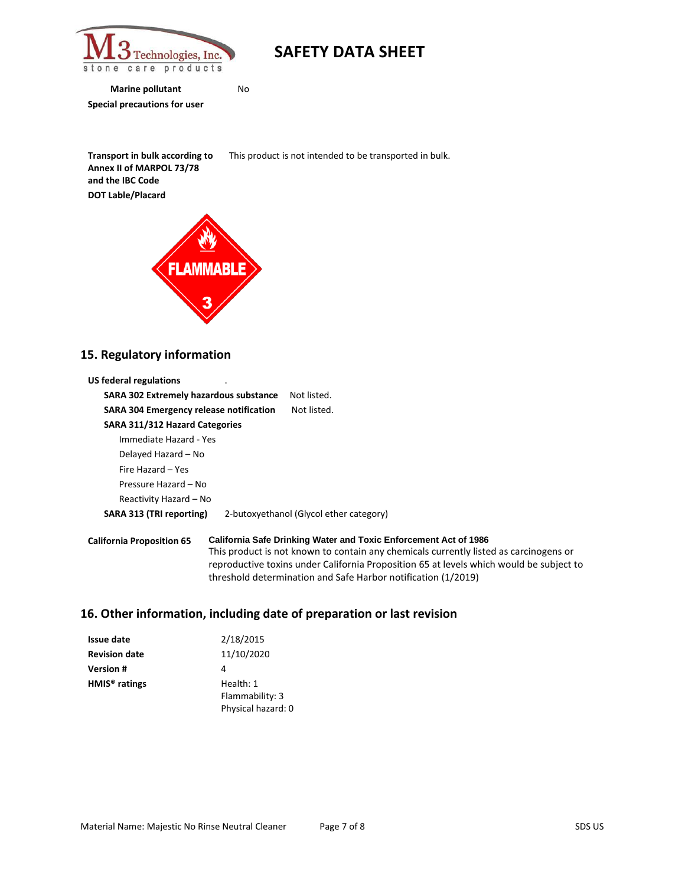

**Marine pollutant** No **Special precautions for user**

**Transport in bulk according to Annex II of MARPOL 73/78 and the IBC Code** This product is not intended to be transported in bulk. **DOT Lable/Placard**



### **15. Regulatory information**

| US federal regulations                        |                                                                                                                                                   |
|-----------------------------------------------|---------------------------------------------------------------------------------------------------------------------------------------------------|
| <b>SARA 302 Extremely hazardous substance</b> | Not listed.                                                                                                                                       |
| SARA 304 Emergency release notification       | Not listed.                                                                                                                                       |
| SARA 311/312 Hazard Categories                |                                                                                                                                                   |
| Immediate Hazard - Yes                        |                                                                                                                                                   |
| Delayed Hazard – No                           |                                                                                                                                                   |
| Fire Hazard - Yes                             |                                                                                                                                                   |
| Pressure Hazard – No                          |                                                                                                                                                   |
| Reactivity Hazard – No                        |                                                                                                                                                   |
| SARA 313 (TRI reporting)                      | 2-butoxyethanol (Glycol ether category)                                                                                                           |
| <b>California Proposition 65</b>              | <b>California Safe Drinking Water and Toxic Enforcement Act of 1986</b><br>This product is not known to contain any chemicals currently listed as |

### carcinogens or reproductive toxins under California Proposition 65 at levels which would be subject to threshold determination and Safe Harbor notification (1/2019)

#### **16. Other information, including date of preparation or last revision**

| <b>Issue date</b>         | 2/18/2015          |
|---------------------------|--------------------|
| <b>Revision date</b>      | 11/10/2020         |
| <b>Version #</b>          | 4                  |
| HMIS <sup>®</sup> ratings | Health: 1          |
|                           | Flammability: 3    |
|                           | Physical hazard: 0 |